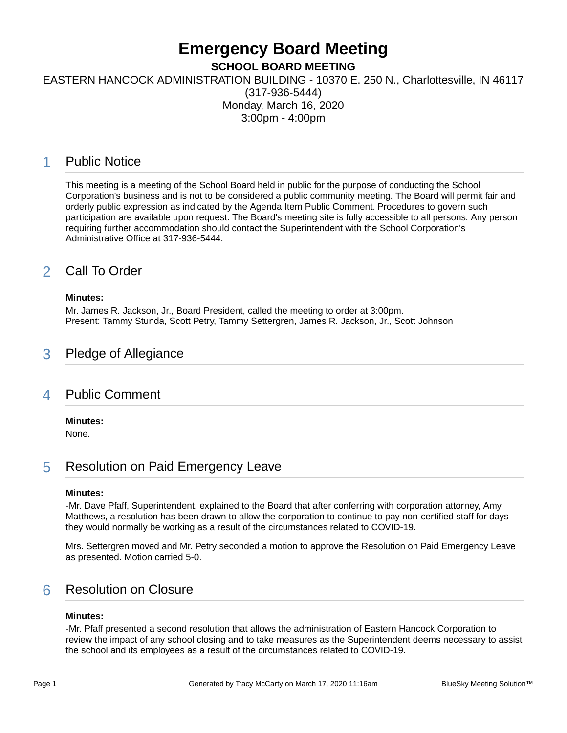# **Emergency Board Meeting**

**SCHOOL BOARD MEETING**

EASTERN HANCOCK ADMINISTRATION BUILDING - 10370 E. 250 N., Charlottesville, IN 46117

(317-936-5444) Monday, March 16, 2020 3:00pm - 4:00pm

# 1 Public Notice

This meeting is a meeting of the School Board held in public for the purpose of conducting the School Corporation's business and is not to be considered a public community meeting. The Board will permit fair and orderly public expression as indicated by the Agenda Item Public Comment. Procedures to govern such participation are available upon request. The Board's meeting site is fully accessible to all persons. Any person requiring further accommodation should contact the Superintendent with the School Corporation's Administrative Office at 317-936-5444.

# 2 Call To Order

#### **Minutes:**

Mr. James R. Jackson, Jr., Board President, called the meeting to order at 3:00pm. Present: Tammy Stunda, Scott Petry, Tammy Settergren, James R. Jackson, Jr., Scott Johnson

# 3 Pledge of Allegiance

### 4 Public Comment

**Minutes:**

None.

# 5 Resolution on Paid Emergency Leave

#### **Minutes:**

-Mr. Dave Pfaff, Superintendent, explained to the Board that after conferring with corporation attorney, Amy Matthews, a resolution has been drawn to allow the corporation to continue to pay non-certified staff for days they would normally be working as a result of the circumstances related to COVID-19.

Mrs. Settergren moved and Mr. Petry seconded a motion to approve the Resolution on Paid Emergency Leave as presented. Motion carried 5-0.

# 6 Resolution on Closure

#### **Minutes:**

-Mr. Pfaff presented a second resolution that allows the administration of Eastern Hancock Corporation to review the impact of any school closing and to take measures as the Superintendent deems necessary to assist the school and its employees as a result of the circumstances related to COVID-19.